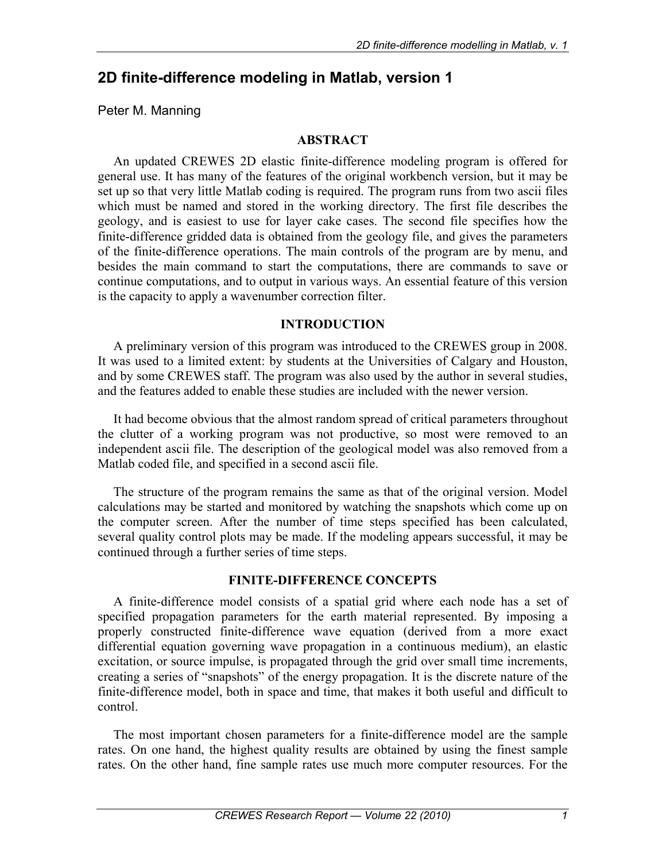# **2D finite-difference modeling in Matlab, version 1**

Peter M. Manning

### **ABSTRACT**

An updated CREWES 2D elastic finite-difference modeling program is offered for general use. It has many of the features of the original workbench version, but it may be set up so that very little Matlab coding is required. The program runs from two ascii files which must be named and stored in the working directory. The first file describes the geology, and is easiest to use for layer cake cases. The second file specifies how the finite-difference gridded data is obtained from the geology file, and gives the parameters of the finite-difference operations. The main controls of the program are by menu, and besides the main command to start the computations, there are commands to save or continue computations, and to output in various ways. An essential feature of this version is the capacity to apply a wavenumber correction filter.

### **INTRODUCTION**

A preliminary version of this program was introduced to the CREWES group in 2008. It was used to a limited extent: by students at the Universities of Calgary and Houston, and by some CREWES staff. The program was also used by the author in several studies, and the features added to enable these studies are included with the newer version.

It had become obvious that the almost random spread of critical parameters throughout the clutter of a working program was not productive, so most were removed to an independent ascii file. The description of the geological model was also removed from a Matlab coded file, and specified in a second ascii file.

The structure of the program remains the same as that of the original version. Model calculations may be started and monitored by watching the snapshots which come up on the computer screen. After the number of time steps specified has been calculated, several quality control plots may be made. If the modeling appears successful, it may be continued through a further series of time steps.

### **FINITE-DIFFERENCE CONCEPTS**

A finite-difference model consists of a spatial grid where each node has a set of specified propagation parameters for the earth material represented. By imposing a properly constructed finite-difference wave equation (derived from a more exact differential equation governing wave propagation in a continuous medium), an elastic excitation, or source impulse, is propagated through the grid over small time increments, creating a series of "snapshots" of the energy propagation. It is the discrete nature of the finite-difference model, both in space and time, that makes it both useful and difficult to control.

The most important chosen parameters for a finite-difference model are the sample rates. On one hand, the highest quality results are obtained by using the finest sample rates. On the other hand, fine sample rates use much more computer resources. For the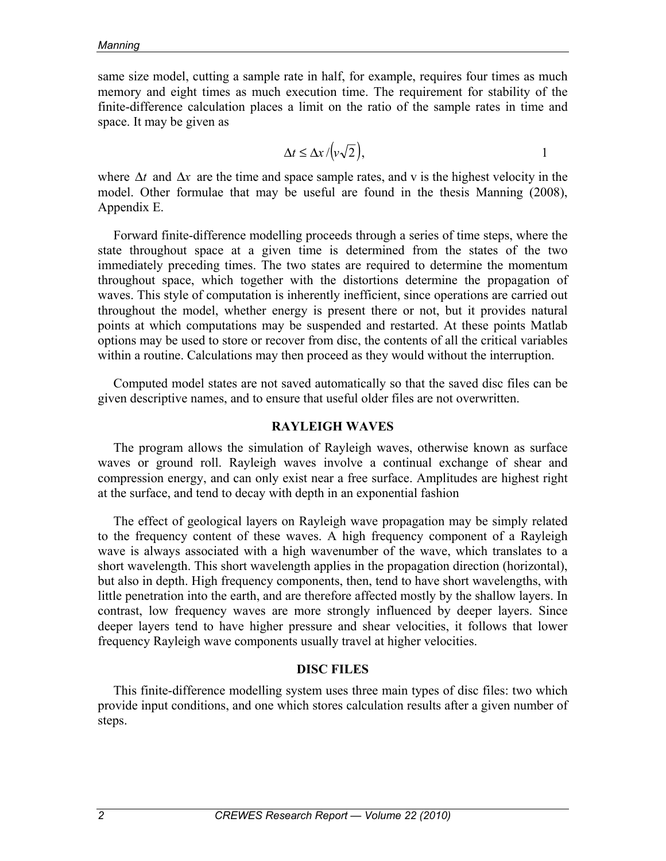same size model, cutting a sample rate in half, for example, requires four times as much memory and eight times as much execution time. The requirement for stability of the finite-difference calculation places a limit on the ratio of the sample rates in time and space. It may be given as

$$
\Delta t \le \Delta x / (v \sqrt{2}), \qquad \qquad 1
$$

where  $\Delta t$  and  $\Delta x$  are the time and space sample rates, and v is the highest velocity in the model. Other formulae that may be useful are found in the thesis Manning (2008), Appendix E.

Forward finite-difference modelling proceeds through a series of time steps, where the state throughout space at a given time is determined from the states of the two immediately preceding times. The two states are required to determine the momentum throughout space, which together with the distortions determine the propagation of waves. This style of computation is inherently inefficient, since operations are carried out throughout the model, whether energy is present there or not, but it provides natural points at which computations may be suspended and restarted. At these points Matlab options may be used to store or recover from disc, the contents of all the critical variables within a routine. Calculations may then proceed as they would without the interruption.

Computed model states are not saved automatically so that the saved disc files can be given descriptive names, and to ensure that useful older files are not overwritten.

#### **RAYLEIGH WAVES**

The program allows the simulation of Rayleigh waves, otherwise known as surface waves or ground roll. Rayleigh waves involve a continual exchange of shear and compression energy, and can only exist near a free surface. Amplitudes are highest right at the surface, and tend to decay with depth in an exponential fashion

The effect of geological layers on Rayleigh wave propagation may be simply related to the frequency content of these waves. A high frequency component of a Rayleigh wave is always associated with a high wavenumber of the wave, which translates to a short wavelength. This short wavelength applies in the propagation direction (horizontal), but also in depth. High frequency components, then, tend to have short wavelengths, with little penetration into the earth, and are therefore affected mostly by the shallow layers. In contrast, low frequency waves are more strongly influenced by deeper layers. Since deeper layers tend to have higher pressure and shear velocities, it follows that lower frequency Rayleigh wave components usually travel at higher velocities.

#### **DISC FILES**

This finite-difference modelling system uses three main types of disc files: two which provide input conditions, and one which stores calculation results after a given number of steps.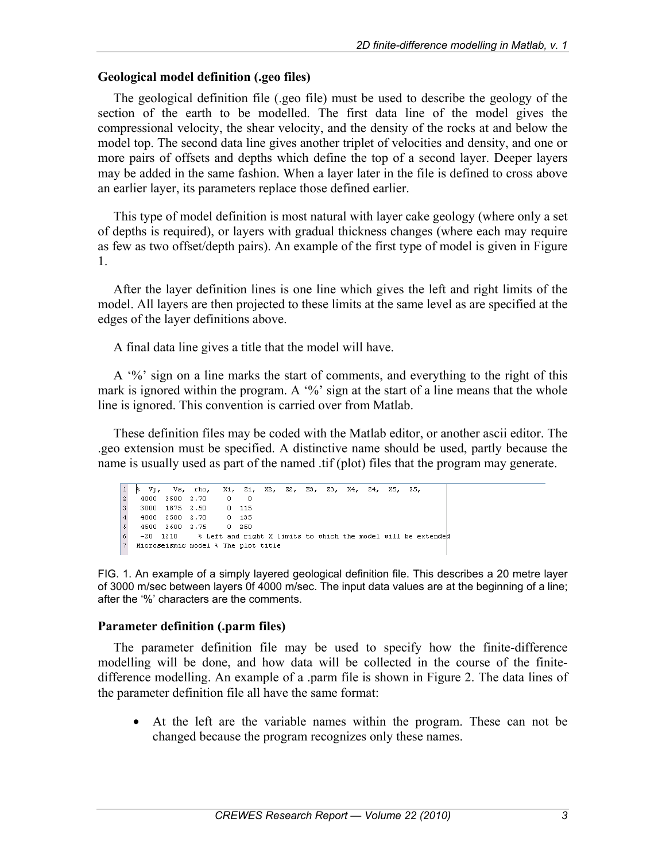### **Geological model definition (.geo files)**

The geological definition file (.geo file) must be used to describe the geology of the section of the earth to be modelled. The first data line of the model gives the compressional velocity, the shear velocity, and the density of the rocks at and below the model top. The second data line gives another triplet of velocities and density, and one or more pairs of offsets and depths which define the top of a second layer. Deeper layers may be added in the same fashion. When a layer later in the file is defined to cross above an earlier layer, its parameters replace those defined earlier.

This type of model definition is most natural with layer cake geology (where only a set of depths is required), or layers with gradual thickness changes (where each may require as few as two offset/depth pairs). An example of the first type of model is given in Figure 1.

After the layer definition lines is one line which gives the left and right limits of the model. All layers are then projected to these limits at the same level as are specified at the edges of the layer definitions above.

A final data line gives a title that the model will have.

A '%' sign on a line marks the start of comments, and everything to the right of this mark is ignored within the program. A  $\frac{6}{6}$  sign at the start of a line means that the whole line is ignored. This convention is carried over from Matlab.

These definition files may be coded with the Matlab editor, or another ascii editor. The .geo extension must be specified. A distinctive name should be used, partly because the name is usually used as part of the named .tif (plot) files that the program may generate.

```
\overline{v_p}\overline{z_1}.
                                     X2. Z2. X3. Z3. X4. Z4. X5. Z5.
\perp╞
             Vs.
                          X1.rho,
\vert z \vert4000 2500 2.70
                           \circ\Box3000 1875 2.50
                            0 - 115lз
    4000 2500 2.70
                           0 - 135\overline{4}0.2505
   4500 2600 2.75
6
   -20 1210
                   % Left and right X limits to which the model will be extended
7 Microseismic model % The plot title
```
FIG. 1. An example of a simply layered geological definition file. This describes a 20 metre layer of 3000 m/sec between layers 0f 4000 m/sec. The input data values are at the beginning of a line; after the '%' characters are the comments.

## **Parameter definition (.parm files)**

The parameter definition file may be used to specify how the finite-difference modelling will be done, and how data will be collected in the course of the finitedifference modelling. An example of a .parm file is shown in Figure 2. The data lines of the parameter definition file all have the same format:

• At the left are the variable names within the program. These can not be changed because the program recognizes only these names.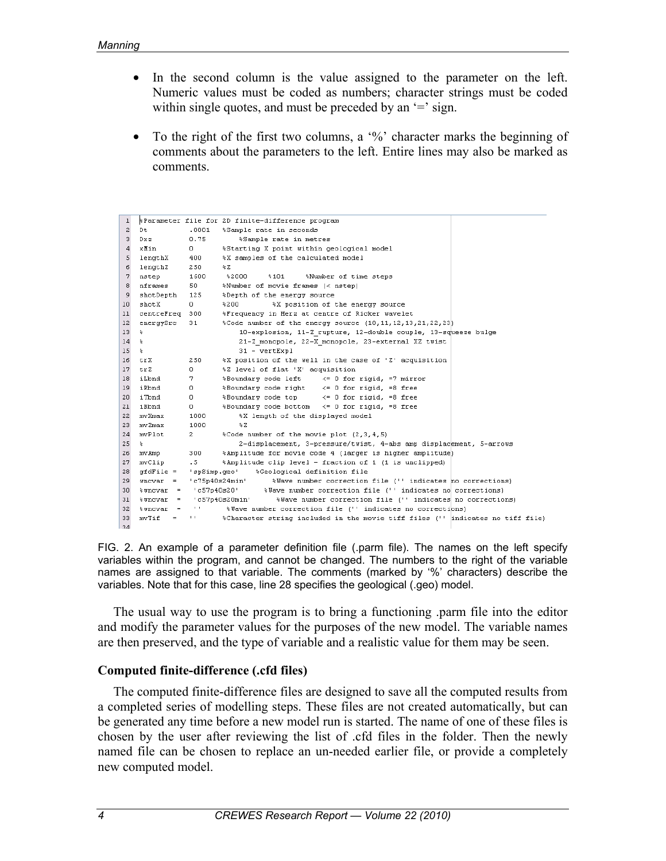- In the second column is the value assigned to the parameter on the left. Numeric values must be coded as numbers; character strings must be coded within single quotes, and must be preceded by an '=' sign.
- To the right of the first two columns, a '%' character marks the beginning of comments about the parameters to the left. Entire lines may also be marked as comments.

| $\mathbf{1}$ |                        |                               | \$Parameter file for 2D finite-difference program                              |
|--------------|------------------------|-------------------------------|--------------------------------------------------------------------------------|
| $\mathbf{z}$ | Dt.                    | .0001                         | %Sample rate in seconds                                                        |
| 3            | Dxz                    | 0.75                          | %Sample rate in metres                                                         |
| 4            | xMin                   | $\mathbf{0}$                  | %Starting X point within geological model                                      |
| 5            | lengthX                | 400                           | %X samples of the calculated model                                             |
| 6            | lengthZ                | 250                           | $\approx$ Z                                                                    |
| 7            | nstep                  | 1600                          | \$2000<br>$*101$<br>%Number of time steps                                      |
| 8            | nframes                | 50                            | %Number of movie frames (< nstep)                                              |
| 9            | shotDepth              | 125                           | *Depth of the energy source                                                    |
| 10           | shotX                  | $\Omega$                      | %X position of the energy source<br>%200                                       |
| 11           | centreFreq 300         |                               | *Frequency in Herz at centre of Ricker wavelet                                 |
| 12           | energySrc              | 31                            | *Code number of the energy source (10,11,12,13,21,22,23)                       |
| 13           | ÷                      |                               | 10-explosion, 11-2 rupture, 12-double couple, 13-squeeze bulge                 |
| 14           | 多                      |                               | 21-Z monopole, 22-X monopole, 23-external XZ twist                             |
| 15           | 备                      |                               | $31 - \text{vertExpl}$                                                         |
| 16           | trX.                   | 250                           | %X position of the well in the case of 'Z' acquisition                         |
| 17           | trZ.                   | 0.                            | %Z level of flat 'X' acquisition                                               |
| 18           | iLbnd                  | 7.                            | *Boundary code left <= 0 for rigid, =7 mirror                                  |
| 19           | iRbnd                  | $\circ$                       | *Boundary code right <= 0 for rigid, =8 free                                   |
| 20           | iTbnd                  | 0                             | *Boundary code top <= 0 for rigid, =8 free                                     |
| 21           | iBbnd                  | 0                             | %Boundary code bottom <= 0 for rigid, =8 free                                  |
| 22           | mvXmax                 | 1000                          | %X length of the displayed model                                               |
| 23           | mv Zmax                | 1000                          | $\approx$ Z                                                                    |
| 24           | mvPlot                 | $2^{\circ}$                   | %Code number of the movie plot (2,3,4,5)                                       |
| 25           | 多                      |                               | 2-displacement, 3-pressure/twist, 4-abs amp displacement, 5-arrows             |
| 26           | mv Amp                 | 300                           | %Amplitude for movie code 4 (larger is higher amplitude)                       |
| 27           | mvClip                 | .5 <sub>1</sub>               | *Amplitude clip level - fraction of 1 (1 is unclipped)                         |
| 28           | $qfdFile =$            | 'spSimp.geo'                  | %Geological definition file                                                    |
| 29           | $uncvar =$             |                               | 'c75p40s24min'<br>%Wave number correction file ('' indicates ho corrections)   |
| 30           | $\text{uncvar}$ =      |                               | 'c57p40s20' %Wave number correction file ('' indicates no corrections)         |
| 31           | $*$ wncvar =           |                               | c57p40s20min'<br>%Wave number correction file ('' indicates no corrections)    |
| 32           | $\frac{1}{2}$ wncvar = | $\mathbf{L} \cdot \mathbf{I}$ | %Wave number correction file ('' indicates no corrections)                     |
| 33           | mvTif<br>$=$           | $\mathbf{L}$                  | %Character string included in the movie tiff files ('' indicates no tiff file) |
| 2A           |                        |                               |                                                                                |

FIG. 2. An example of a parameter definition file (.parm file). The names on the left specify variables within the program, and cannot be changed. The numbers to the right of the variable names are assigned to that variable. The comments (marked by '%' characters) describe the variables. Note that for this case, line 28 specifies the geological (.geo) model.

The usual way to use the program is to bring a functioning .parm file into the editor and modify the parameter values for the purposes of the new model. The variable names are then preserved, and the type of variable and a realistic value for them may be seen.

#### **Computed finite-difference (.cfd files)**

The computed finite-difference files are designed to save all the computed results from a completed series of modelling steps. These files are not created automatically, but can be generated any time before a new model run is started. The name of one of these files is chosen by the user after reviewing the list of .cfd files in the folder. Then the newly named file can be chosen to replace an un-needed earlier file, or provide a completely new computed model.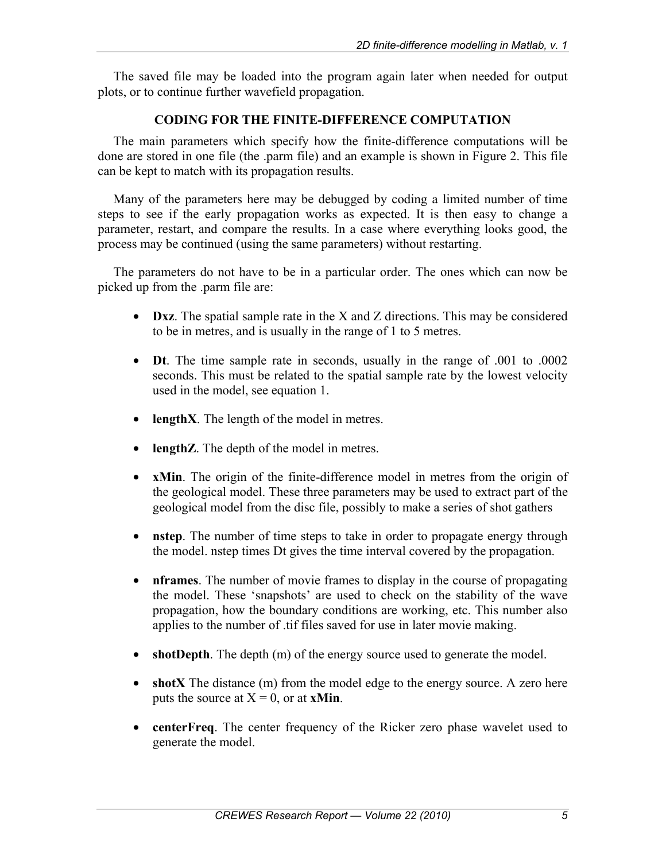The saved file may be loaded into the program again later when needed for output plots, or to continue further wavefield propagation.

## **CODING FOR THE FINITE-DIFFERENCE COMPUTATION**

The main parameters which specify how the finite-difference computations will be done are stored in one file (the .parm file) and an example is shown in Figure 2. This file can be kept to match with its propagation results.

Many of the parameters here may be debugged by coding a limited number of time steps to see if the early propagation works as expected. It is then easy to change a parameter, restart, and compare the results. In a case where everything looks good, the process may be continued (using the same parameters) without restarting.

The parameters do not have to be in a particular order. The ones which can now be picked up from the .parm file are:

- **Dxz**. The spatial sample rate in the X and Z directions. This may be considered to be in metres, and is usually in the range of 1 to 5 metres.
- **Dt**. The time sample rate in seconds, usually in the range of .001 to .0002 seconds. This must be related to the spatial sample rate by the lowest velocity used in the model, see equation 1.
- **lengthX**. The length of the model in metres.
- **lengthZ**. The depth of the model in metres.
- **xMin**. The origin of the finite-difference model in metres from the origin of the geological model. These three parameters may be used to extract part of the geological model from the disc file, possibly to make a series of shot gathers
- **nstep**. The number of time steps to take in order to propagate energy through the model. nstep times Dt gives the time interval covered by the propagation.
- **nframes**. The number of movie frames to display in the course of propagating the model. These 'snapshots' are used to check on the stability of the wave propagation, how the boundary conditions are working, etc. This number also applies to the number of .tif files saved for use in later movie making.
- **shotDepth**. The depth (m) of the energy source used to generate the model.
- **shotX** The distance (m) from the model edge to the energy source. A zero here puts the source at  $X = 0$ , or at **xMin**.
- **centerFreq**. The center frequency of the Ricker zero phase wavelet used to generate the model.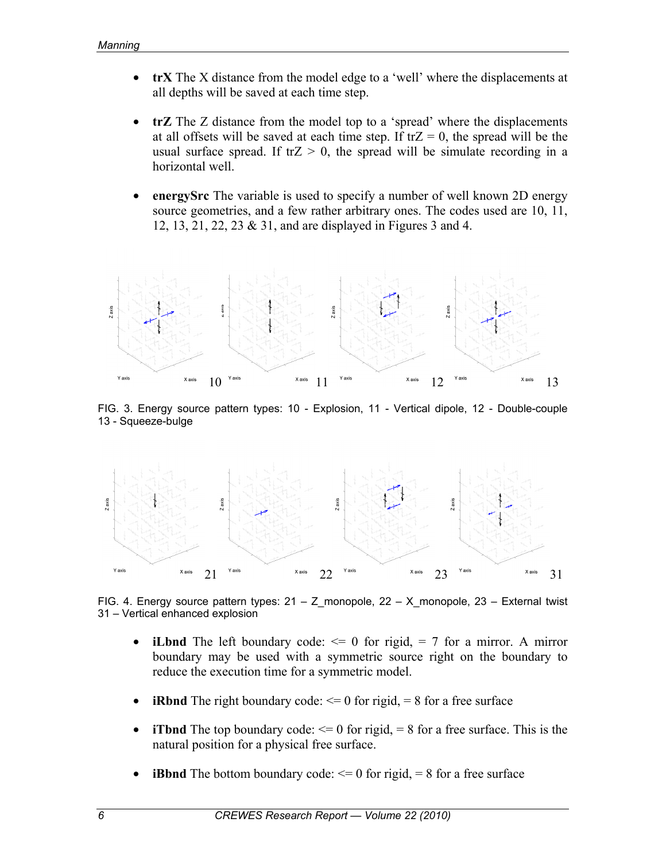- **trX** The X distance from the model edge to a 'well' where the displacements at all depths will be saved at each time step.
- **trZ** The Z distance from the model top to a 'spread' where the displacements at all offsets will be saved at each time step. If  $trZ = 0$ , the spread will be the usual surface spread. If  $trZ > 0$ , the spread will be simulate recording in a horizontal well.
- **energySrc** The variable is used to specify a number of well known 2D energy source geometries, and a few rather arbitrary ones. The codes used are 10, 11, 12, 13, 21, 22, 23 & 31, and are displayed in Figures 3 and 4.



FIG. 3. Energy source pattern types: 10 - Explosion, 11 - Vertical dipole, 12 - Double-couple 13 - Squeeze-bulge



FIG. 4. Energy source pattern types:  $21 - Z$  monopole,  $22 - X$  monopole,  $23 -$  External twist 31 – Vertical enhanced explosion

- **iLbnd** The left boundary code:  $\leq 0$  for rigid,  $= 7$  for a mirror. A mirror boundary may be used with a symmetric source right on the boundary to reduce the execution time for a symmetric model.
- **iRbnd** The right boundary code:  $\leq 0$  for rigid,  $= 8$  for a free surface
- **iTbnd** The top boundary code:  $\leq 0$  for rigid,  $= 8$  for a free surface. This is the natural position for a physical free surface.
- **iBbnd** The bottom boundary code:  $\leq 0$  for rigid,  $= 8$  for a free surface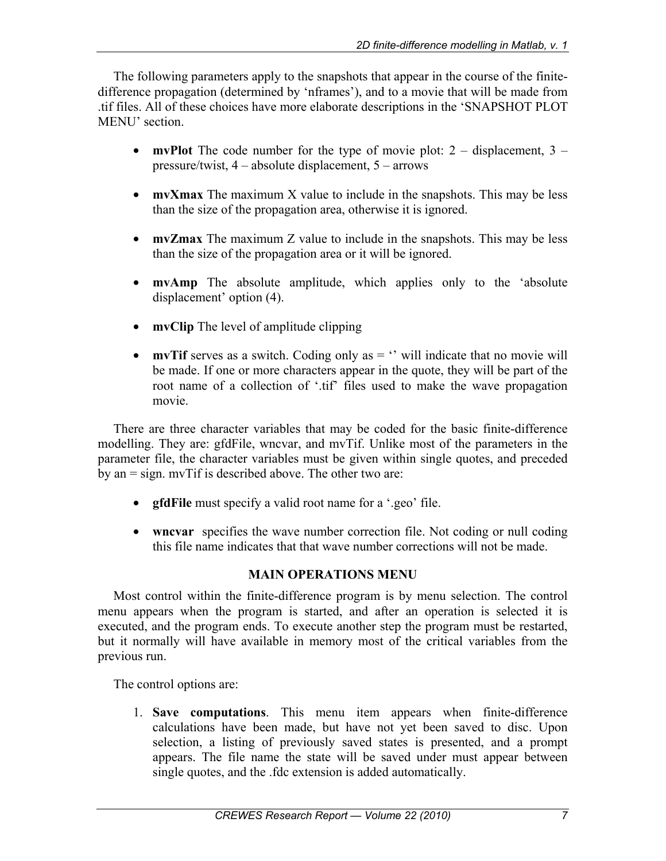The following parameters apply to the snapshots that appear in the course of the finitedifference propagation (determined by 'nframes'), and to a movie that will be made from .tif files. All of these choices have more elaborate descriptions in the 'SNAPSHOT PLOT MENU' section

- **mvPlot** The code number for the type of movie plot:  $2 -$  displacement,  $3$ pressure/twist, 4 – absolute displacement, 5 – arrows
- **mvXmax** The maximum X value to include in the snapshots. This may be less than the size of the propagation area, otherwise it is ignored.
- **mvZmax** The maximum Z value to include in the snapshots. This may be less than the size of the propagation area or it will be ignored.
- **mvAmp** The absolute amplitude, which applies only to the 'absolute displacement' option (4).
- **mvClip** The level of amplitude clipping
- **mvTif** serves as a switch. Coding only as  $=$   $\cdot$  will indicate that no movie will be made. If one or more characters appear in the quote, they will be part of the root name of a collection of '.tif' files used to make the wave propagation movie.

There are three character variables that may be coded for the basic finite-difference modelling. They are: gfdFile, wncvar, and mvTif. Unlike most of the parameters in the parameter file, the character variables must be given within single quotes, and preceded by an = sign. mvTif is described above. The other two are:

- **gfdFile** must specify a valid root name for a '.geo' file.
- wncvar specifies the wave number correction file. Not coding or null coding this file name indicates that that wave number corrections will not be made.

# **MAIN OPERATIONS MENU**

Most control within the finite-difference program is by menu selection. The control menu appears when the program is started, and after an operation is selected it is executed, and the program ends. To execute another step the program must be restarted, but it normally will have available in memory most of the critical variables from the previous run.

The control options are:

1. **Save computations**. This menu item appears when finite-difference calculations have been made, but have not yet been saved to disc. Upon selection, a listing of previously saved states is presented, and a prompt appears. The file name the state will be saved under must appear between single quotes, and the .fdc extension is added automatically.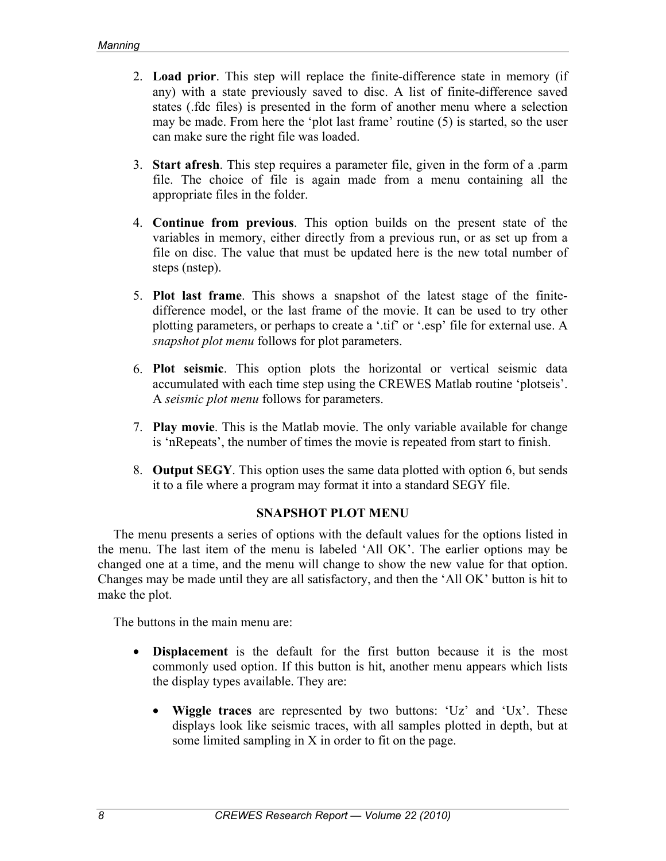- 2. **Load prior**. This step will replace the finite-difference state in memory (if any) with a state previously saved to disc. A list of finite-difference saved states (.fdc files) is presented in the form of another menu where a selection may be made. From here the 'plot last frame' routine (5) is started, so the user can make sure the right file was loaded.
- 3. **Start afresh**. This step requires a parameter file, given in the form of a .parm file. The choice of file is again made from a menu containing all the appropriate files in the folder.
- 4. **Continue from previous**. This option builds on the present state of the variables in memory, either directly from a previous run, or as set up from a file on disc. The value that must be updated here is the new total number of steps (nstep).
- 5. **Plot last frame**. This shows a snapshot of the latest stage of the finitedifference model, or the last frame of the movie. It can be used to try other plotting parameters, or perhaps to create a '.tif' or '.esp' file for external use. A *snapshot plot menu* follows for plot parameters.
- 6. **Plot seismic**. This option plots the horizontal or vertical seismic data accumulated with each time step using the CREWES Matlab routine 'plotseis'. A *seismic plot menu* follows for parameters.
- 7. **Play movie**. This is the Matlab movie. The only variable available for change is 'nRepeats', the number of times the movie is repeated from start to finish.
- 8. **Output SEGY**. This option uses the same data plotted with option 6, but sends it to a file where a program may format it into a standard SEGY file.

### **SNAPSHOT PLOT MENU**

The menu presents a series of options with the default values for the options listed in the menu. The last item of the menu is labeled 'All OK'. The earlier options may be changed one at a time, and the menu will change to show the new value for that option. Changes may be made until they are all satisfactory, and then the 'All OK' button is hit to make the plot.

The buttons in the main menu are:

- **Displacement** is the default for the first button because it is the most commonly used option. If this button is hit, another menu appears which lists the display types available. They are:
	- **Wiggle traces** are represented by two buttons: 'Uz' and 'Ux'. These displays look like seismic traces, with all samples plotted in depth, but at some limited sampling in X in order to fit on the page.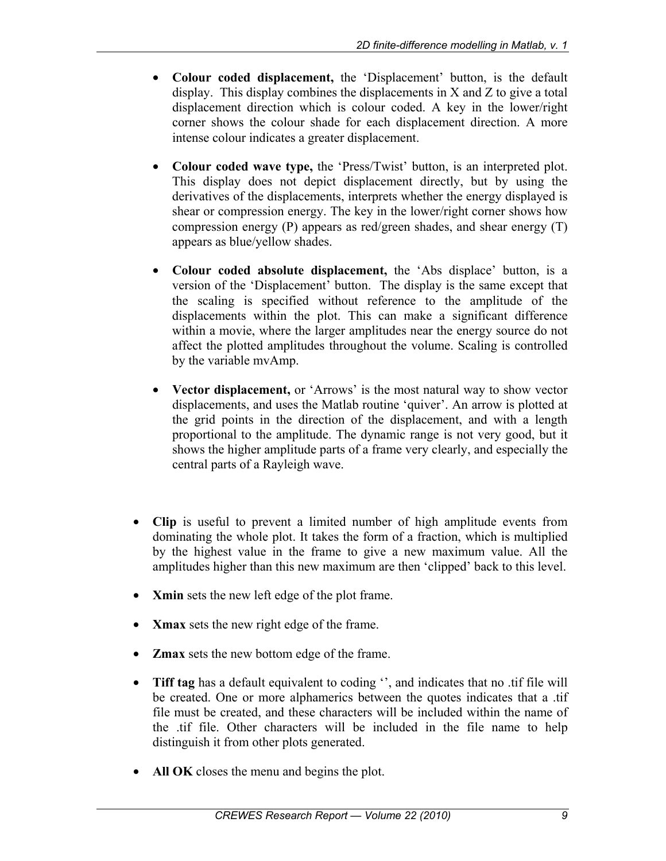- **Colour coded displacement,** the 'Displacement' button, is the default display. This display combines the displacements in X and Z to give a total displacement direction which is colour coded. A key in the lower/right corner shows the colour shade for each displacement direction. A more intense colour indicates a greater displacement.
- **Colour coded wave type,** the 'Press/Twist' button, is an interpreted plot. This display does not depict displacement directly, but by using the derivatives of the displacements, interprets whether the energy displayed is shear or compression energy. The key in the lower/right corner shows how compression energy (P) appears as red/green shades, and shear energy (T) appears as blue/yellow shades.
- **Colour coded absolute displacement,** the 'Abs displace' button, is a version of the 'Displacement' button. The display is the same except that the scaling is specified without reference to the amplitude of the displacements within the plot. This can make a significant difference within a movie, where the larger amplitudes near the energy source do not affect the plotted amplitudes throughout the volume. Scaling is controlled by the variable mvAmp.
- **Vector displacement,** or 'Arrows' is the most natural way to show vector displacements, and uses the Matlab routine 'quiver'. An arrow is plotted at the grid points in the direction of the displacement, and with a length proportional to the amplitude. The dynamic range is not very good, but it shows the higher amplitude parts of a frame very clearly, and especially the central parts of a Rayleigh wave.
- **Clip** is useful to prevent a limited number of high amplitude events from dominating the whole plot. It takes the form of a fraction, which is multiplied by the highest value in the frame to give a new maximum value. All the amplitudes higher than this new maximum are then 'clipped' back to this level.
- **Xmin** sets the new left edge of the plot frame.
- **Xmax** sets the new right edge of the frame.
- **Zmax** sets the new bottom edge of the frame.
- **Tiff tag** has a default equivalent to coding '', and indicates that no .tif file will be created. One or more alphamerics between the quotes indicates that a .tif file must be created, and these characters will be included within the name of the .tif file. Other characters will be included in the file name to help distinguish it from other plots generated.
- **All OK** closes the menu and begins the plot.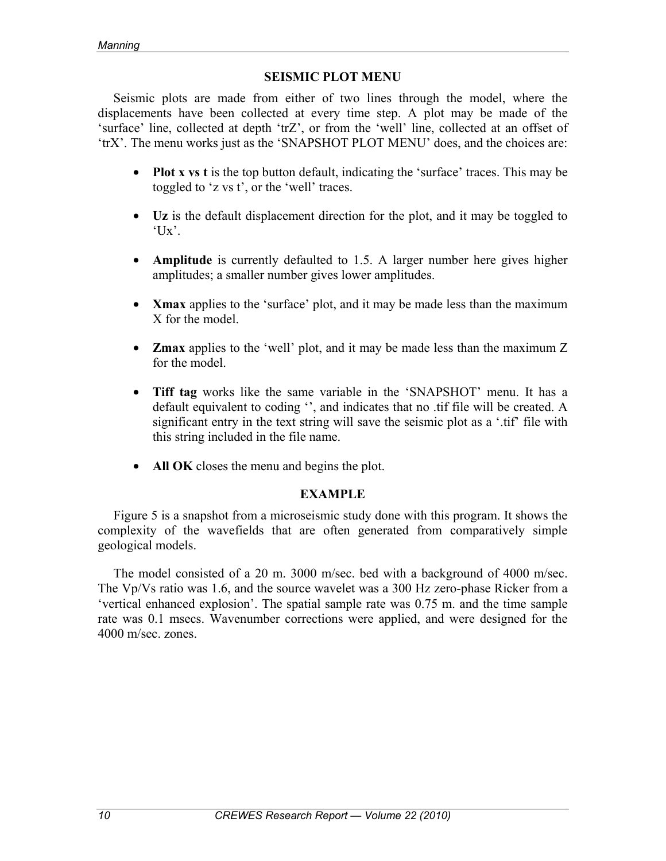### **SEISMIC PLOT MENU**

Seismic plots are made from either of two lines through the model, where the displacements have been collected at every time step. A plot may be made of the 'surface' line, collected at depth 'trZ', or from the 'well' line, collected at an offset of 'trX'. The menu works just as the 'SNAPSHOT PLOT MENU' does, and the choices are:

- **Plot x vs t** is the top button default, indicating the 'surface' traces. This may be toggled to 'z vs t', or the 'well' traces.
- **Uz** is the default displacement direction for the plot, and it may be toggled to  $'Ux'.$
- **Amplitude** is currently defaulted to 1.5. A larger number here gives higher amplitudes; a smaller number gives lower amplitudes.
- **Xmax** applies to the 'surface' plot, and it may be made less than the maximum X for the model.
- **Zmax** applies to the 'well' plot, and it may be made less than the maximum Z for the model
- **Tiff tag** works like the same variable in the 'SNAPSHOT' menu. It has a default equivalent to coding '', and indicates that no .tif file will be created. A significant entry in the text string will save the seismic plot as a '.tif' file with this string included in the file name.
- **All OK** closes the menu and begins the plot.

### **EXAMPLE**

Figure 5 is a snapshot from a microseismic study done with this program. It shows the complexity of the wavefields that are often generated from comparatively simple geological models.

The model consisted of a 20 m. 3000 m/sec. bed with a background of 4000 m/sec. The Vp/Vs ratio was 1.6, and the source wavelet was a 300 Hz zero-phase Ricker from a 'vertical enhanced explosion'. The spatial sample rate was 0.75 m. and the time sample rate was 0.1 msecs. Wavenumber corrections were applied, and were designed for the 4000 m/sec. zones.